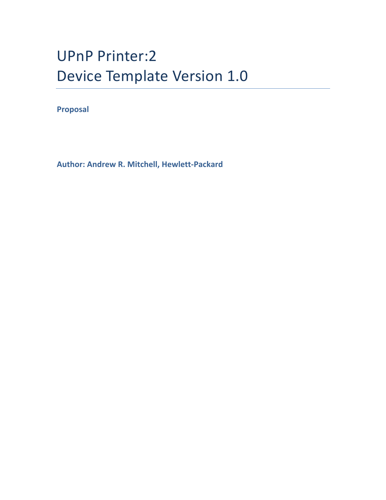# UPnP Printer:2 Device Template Version 1.0

**Proposal**

**Author: Andrew R. Mitchell, Hewlett-Packard**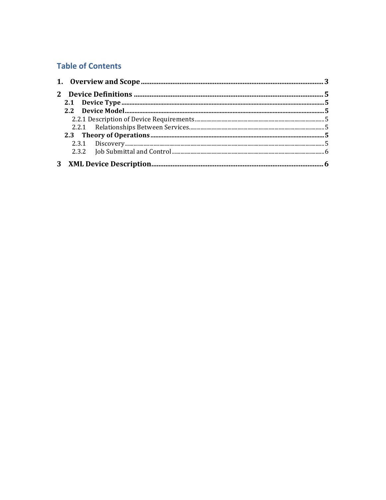# **Table of Contents**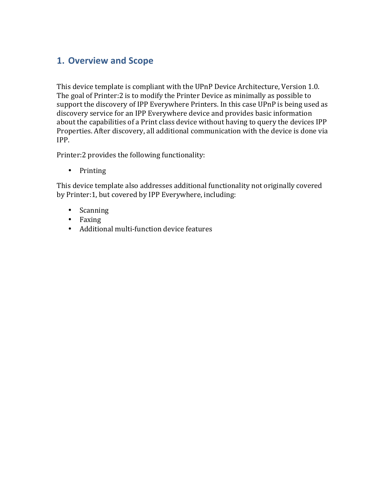# **1. Overview and Scope**

This device template is compliant with the UPnP Device Architecture, Version 1.0. The goal of Printer: 2 is to modify the Printer Device as minimally as possible to support the discovery of IPP Everywhere Printers. In this case UPnP is being used as discovery service for an IPP Everywhere device and provides basic information about the capabilities of a Print class device without having to query the devices IPP Properties. After discovery, all additional communication with the device is done via IPP.

Printer:2 provides the following functionality:

• Printing

This device template also addresses additional functionality not originally covered by Printer:1, but covered by IPP Everywhere, including:

- Scanning
- Faxing
- Additional multi-function device features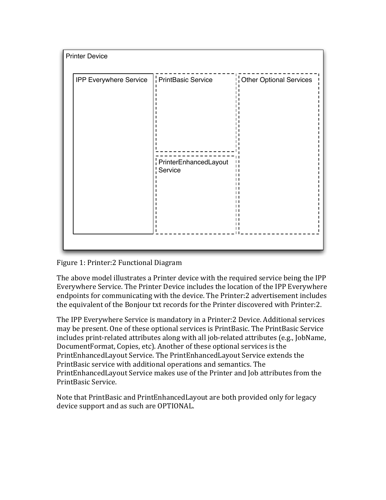| <b>Printer Device</b>  |                                  |                                |
|------------------------|----------------------------------|--------------------------------|
| IPP Everywhere Service | PrintBasic Service               | Other Optional Services        |
|                        | PrinterEnhancedLayout<br>Service | $\mathbf{L}$<br>$\blacksquare$ |

Figure 1: Printer: 2 Functional Diagram

The above model illustrates a Printer device with the required service being the IPP Everywhere Service. The Printer Device includes the location of the IPP Everywhere endpoints for communicating with the device. The Printer:2 advertisement includes the equivalent of the Bonjour txt records for the Printer discovered with Printer: 2.

The IPP Everywhere Service is mandatory in a Printer:2 Device. Additional services may be present. One of these optional services is PrintBasic. The PrintBasic Service includes print-related attributes along with all job-related attributes (e.g., JobName, DocumentFormat, Copies, etc). Another of these optional services is the PrintEnhancedLayout Service. The PrintEnhancedLayout Service extends the PrintBasic service with additional operations and semantics. The PrintEnhancedLayout Service makes use of the Printer and Job attributes from the PrintBasic Service.

Note that PrintBasic and PrintEnhancedLayout are both provided only for legacy device support and as such are OPTIONAL.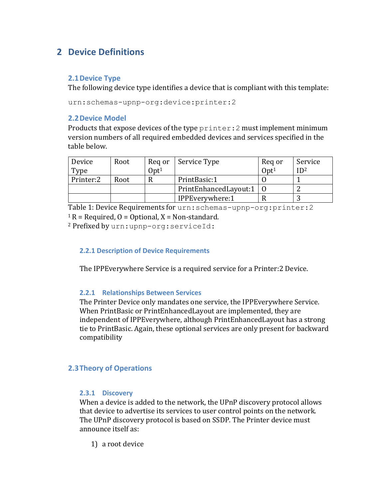# **2 Device Definitions**

### **2.1 Device Type**

The following device type identifies a device that is compliant with this template:

urn:schemas-upnp-org:device:printer:2

#### **2.2 Device Model**

Products that expose devices of the type  $\text{prime}:2$  must implement minimum version numbers of all required embedded devices and services specified in the table below.

| Device    | Root | Reg or           | Service Type              | Reg or           | Service         |
|-----------|------|------------------|---------------------------|------------------|-----------------|
| Type      |      | 0pt <sup>1</sup> |                           | 0pt <sup>1</sup> | ID <sup>2</sup> |
| Printer:2 | Root |                  | PrintBasic:1              |                  |                 |
|           |      |                  | PrintEnhancedLayout:1   0 |                  |                 |
|           |      |                  | IPPEverywhere:1           |                  |                 |

Table 1: Device Requirements for urn: schemas-upnp-org: printer: 2

 $1 R =$  Required, O = Optional, X = Non-standard.

<sup>2</sup> Prefixed by urn:upnp-org:serviceId:

#### **2.2.1 Description of Device Requirements**

The IPPEverywhere Service is a required service for a Printer: 2 Device.

#### **2.2.1 Relationships Between Services**

The Printer Device only mandates one service, the IPPEverywhere Service. When PrintBasic or PrintEnhancedLayout are implemented, they are independent of IPPEverywhere, although PrintEnhancedLayout has a strong tie to PrintBasic. Again, these optional services are only present for backward compatibility

## **2.3 Theory of Operations**

#### **2.3.1 Discovery**

When a device is added to the network, the UPnP discovery protocol allows that device to advertise its services to user control points on the network. The UPnP discovery protocol is based on SSDP. The Printer device must announce itself as:

1) a root device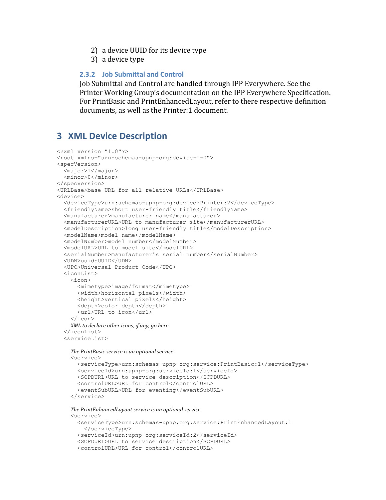- 2) a device UUID for its device type
- 3) a device type

#### 2.3.2 Job Submittal and Control

Job Submittal and Control are handled through IPP Everywhere. See the Printer Working Group's documentation on the IPP Everywhere Specification. For PrintBasic and PrintEnhancedLayout, refer to there respective definition documents, as well as the Printer:1 document.

## **3 XML Device Description**

```
<?xml version="1.0"?>
<root xmlns="urn:schemas-upnp-org:device-1-0">
<specVersion>
 <major>1</major>
 <minor>0</minor>
</specVersion>
<URLBase>base URL for all relative URLs</URLBase>
<device>
  <deviceType>urn:schemas-upnp-org:device:Printer:2</deviceType>
  <friendlyName>short user-friendly title</friendlyName>
  <manufacturer>manufacturer name</manufacturer>
  <manufacturerURL>URL to manufacturer site</manufacturerURL>
  <modelDescription>long user-friendly title</modelDescription>
  <modelName>model name</modelName>
  <modelNumber>model number</modelNumber>
  <modelURL>URL to model site</modelURL>
  <serialNumber>manufacturer's serial number</serialNumber>
  <UDN>uuid:UUID</UDN>
  <UPC>Universal Product Code</UPC>
  \langleiconList\rangle\langleicon\rangle<mimetype>image/format</mimetype>
      <width>horizontal pixels</width>
      <height>vertical pixels</height>
      <depth>color depth</depth>
      <url>URL to icon</url>
    \langle/icon>
    XML to declare other icons, if any, go here.
  \langle/iconList>
  <serviceList>
    The PrintBasic service is an optional service.
    <service>
      <serviceType>urn:schemas-upnp-org:service:PrintBasic:1</serviceType>
      <serviceId>urn:upnp-org:serviceId:1</serviceId>
      <SCPDURL>URL to service description</SCPDURL>
```

```
<controlURL>URL for control</controlURL>
<eventSubURL>URL for eventing</eventSubURL>
```

```
</service>
```
#### The PrintEnhancedLayout service is an optional service.

```
<service>
 <serviceType>urn:schemas-upnp.org:service:PrintEnhancedLayout:1
   </serviceType>
 <serviceId>urn:upnp-org:serviceId:2</serviceId>
 <SCPDURL>URL to service description</SCPDURL>
 <controlURL>URL for control</controlURL>
```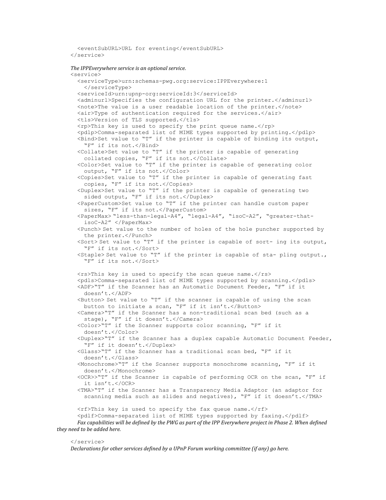<eventSubURL>URL for eventing</eventSubURL> </service>

#### *The IPPEverywhere service is an optional service.*

 <service> <serviceType>urn:schemas-pwg.org:service:IPPEverywhere:1 </serviceType> <serviceId>urn:upnp-org:serviceId:3</serviceId> <adminurl>Specifies the configuration URL for the printer.</adminurl> <note>The value is a user readable location of the printer.</note> <air>Type of authentication required for the services.</air> <tls>Version of TLS supported.</tls> <rp>This key is used to specify the print queue name.</rp> <pdlp>Comma-separated list of MIME types supported by printing.</pdlp> <Bind>Set value to "T" if the printer is capable of binding its output, "F" if its not.</Bind> <Collate>Set value to "T" if the printer is capable of generating collated copies, "F" if its not.</Collate> <Color>Set value to "T" if the printer is capable of generating color output, "F" if its not.</Color> <Copies>Set value to "T" if the printer is capable of generating fast copies, "F" if its not.</Copies> <Duplex>Set value to "T" if the printer is capable of generating two sided output, "F" if its not.</Duplex> <PaperCustom>Set value to "T" if the printer can handle custom paper sizes, "F" if its not.</PaperCustom> <PaperMax> "less-than-legal-A4", "legal-A4", "isoC-A2", "greater-that isoC-A2" </PaperMax> <Punch> Set value to the number of holes of the hole puncher supported by the printer.</Punch> <Sort> Set value to "T" if the printer is capable of sort- ing its output, "F" if its not.</Sort>  $\langle$ Staple> Set value to "T" if the printer is capable of sta- pling output., "F" if its not.</Sort>  $\langle$ rs>This key is used to specify the scan queue name. $\langle$ /rs> <pdls>Comma-separated list of MIME types supported by scanning.</pdls> <ADF>"T" if the Scanner has an Automatic Document Feeder, "F" if it doesn't.</ADF>  $\forall$ Button> Set value to "T" if the scanner is capable of using the scan button to initiate a scan, "F" if it isn't.</Button> <Camera>"T" if the Scanner has a non-traditional scan bed (such as a stage), "F" if it doesn't.</Camera> <Color>"T" if the Scanner supports color scanning, "F" if it doesn't.</Color> <Duplex>"T" if the Scanner has a duplex capable Automatic Document Feeder, "F" if it doesn't.</Duplex> <Glass>"T" if the Scanner has a traditional scan bed, "F" if it doesn't.</Glass> <Monochrome>"T" if the Scanner supports monochrome scanning, "F" if it doesn't.</Monochrome> <OCR>>"T" if the Scanner is capable of performing OCR on the scan, "F" if it isn't.</OCR> <TMA>"T" if the Scanner has a Transparency Media Adaptor (an adaptor for scanning media such as slides and negatives), "F" if it doesn't.</TMA> <rf>This key is used to specify the fax queue name.</rf> <pdlf>Comma-separated list of MIME types supported by faxing.</pdlf> Fax capabilities will be defined by the PWG as part of the IPP Everywhere project in Phase 2. When defined *they need to be added here.* 

#### </service>

*Beclarations for other services defined by a UPnP Forum working committee (if any) go here.*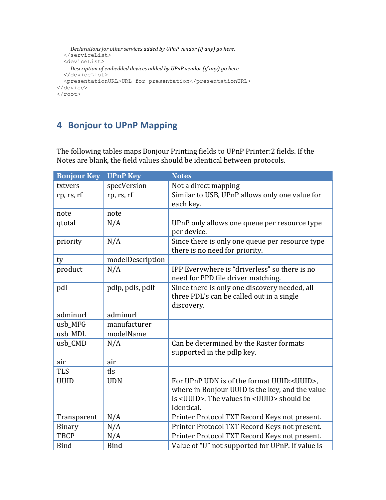```
Declarations for other services added by UPnP vendor (if any) go here.
  \langle/serviceList>
  <deviceList>
     Description of embedded devices added by UPnP vendor (if any) go here.
  </deviceList>
  <presentationURL>URL for presentation</presentationURL>
\langle/device>
\langle/root>
```
## **4 Bonjour to UPnP Mapping**

The following tables maps Bonjour Printing fields to UPnP Printer:2 fields. If the Notes are blank, the field values should be identical between protocols.

| <b>Bonjour Key</b> | <b>UPnP Key</b>  | <b>Notes</b>                                                                                                                                                                      |
|--------------------|------------------|-----------------------------------------------------------------------------------------------------------------------------------------------------------------------------------|
| txtvers            | specVersion      | Not a direct mapping                                                                                                                                                              |
| rp, rs, rf         | rp, rs, rf       | Similar to USB, UPnP allows only one value for<br>each key.                                                                                                                       |
| note               | note             |                                                                                                                                                                                   |
| qtotal             | N/A              | UPnP only allows one queue per resource type<br>per device.                                                                                                                       |
| priority           | N/A              | Since there is only one queue per resource type<br>there is no need for priority.                                                                                                 |
| ty                 | modelDescription |                                                                                                                                                                                   |
| product            | N/A              | IPP Everywhere is "driverless" so there is no<br>need for PPD file driver matching.                                                                                               |
| pdl                | pdlp, pdls, pdlf | Since there is only one discovery needed, all<br>three PDL's can be called out in a single<br>discovery.                                                                          |
| adminurl           | adminurl         |                                                                                                                                                                                   |
| usb_MFG            | manufacturer     |                                                                                                                                                                                   |
| usb MDL            | modelName        |                                                                                                                                                                                   |
| usb_CMD            | N/A              | Can be determined by the Raster formats<br>supported in the pdlp key.                                                                                                             |
| air                | air              |                                                                                                                                                                                   |
| <b>TLS</b>         | tls              |                                                                                                                                                                                   |
| <b>UUID</b>        | <b>UDN</b>       | For UPnP UDN is of the format UUID: <uuid>,<br/>where in Bonjour UUID is the key, and the value<br/>is <uuid>. The values in <uuid> should be<br/>identical.</uuid></uuid></uuid> |
| Transparent        | N/A              | Printer Protocol TXT Record Keys not present.                                                                                                                                     |
| Binary             | N/A              | Printer Protocol TXT Record Keys not present.                                                                                                                                     |
| <b>TBCP</b>        | N/A              | Printer Protocol TXT Record Keys not present.                                                                                                                                     |
| <b>Bind</b>        | <b>Bind</b>      | Value of "U" not supported for UPnP. If value is                                                                                                                                  |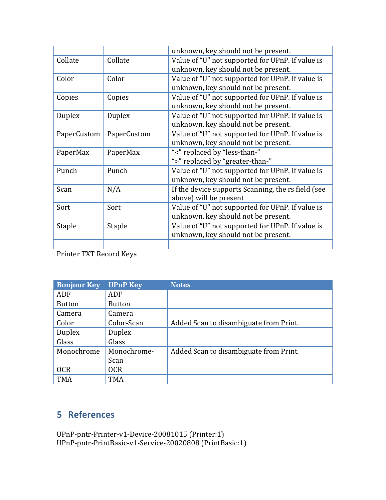| unknown, key should not be present.                |
|----------------------------------------------------|
| Value of "U" not supported for UPnP. If value is   |
| unknown, key should not be present.                |
| Value of "U" not supported for UPnP. If value is   |
| unknown, key should not be present.                |
| Value of "U" not supported for UPnP. If value is   |
| unknown, key should not be present.                |
| Value of "U" not supported for UPnP. If value is   |
| unknown, key should not be present.                |
| Value of "U" not supported for UPnP. If value is   |
| unknown, key should not be present.                |
| "<" replaced by "less-than-"                       |
| ">" replaced by "greater-than-"                    |
| Value of "U" not supported for UPnP. If value is   |
| unknown, key should not be present.                |
| If the device supports Scanning, the rs field (see |
| above) will be present                             |
| Value of "U" not supported for UPnP. If value is   |
| unknown, key should not be present.                |
| Value of "U" not supported for UPnP. If value is   |
| unknown, key should not be present.                |
|                                                    |
|                                                    |

Printer TXT Record Keys

| <b>Bonjour Key</b> | <b>UPnP Key</b> | <b>Notes</b>                           |
|--------------------|-----------------|----------------------------------------|
| ADF                | ADF             |                                        |
| <b>Button</b>      | <b>Button</b>   |                                        |
| Camera             | Camera          |                                        |
| Color              | Color-Scan      | Added Scan to disambiguate from Print. |
| <b>Duplex</b>      | Duplex          |                                        |
| Glass              | Glass           |                                        |
| Monochrome         | Monochrome-     | Added Scan to disambiguate from Print. |
|                    | Scan            |                                        |
| <b>OCR</b>         | <b>OCR</b>      |                                        |
| <b>TMA</b>         | <b>TMA</b>      |                                        |

# **5 References**

UPnP-pntr-Printer-v1-Device-20081015 (Printer:1) UPnP-pntr-PrintBasic-v1-Service-20020808 (PrintBasic:1)